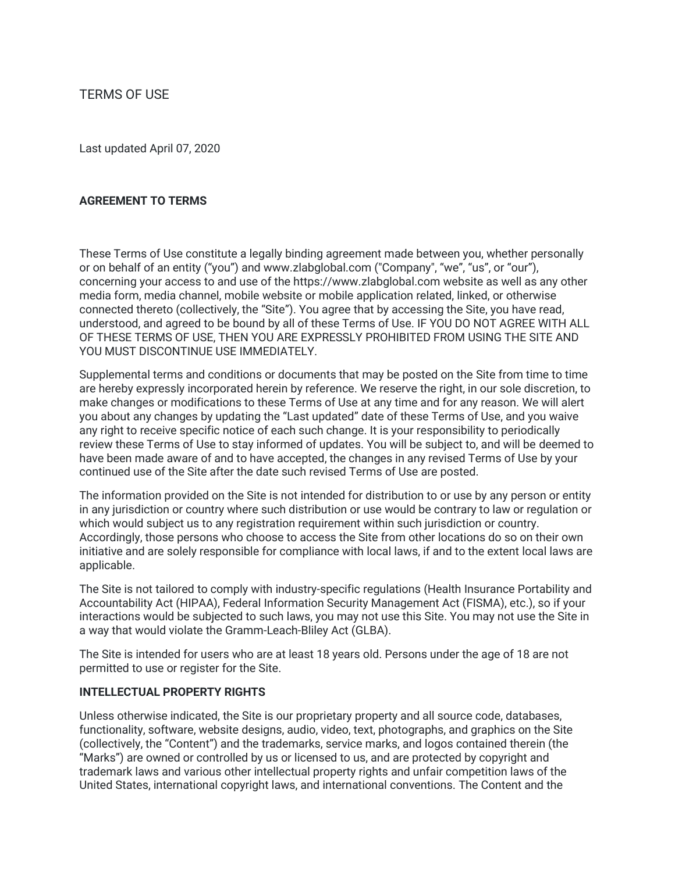TERMS OF USE

Last updated April 07, 2020

### **AGREEMENT TO TERMS**

These Terms of Use constitute a legally binding agreement made between you, whether personally or on behalf of an entity ("you") and www.zlabglobal.com ("Company", "we", "us", or "our"), concerning your access to and use of the https://www.zlabglobal.com website as well as any other media form, media channel, mobile website or mobile application related, linked, or otherwise connected thereto (collectively, the "Site"). You agree that by accessing the Site, you have read, understood, and agreed to be bound by all of these Terms of Use. IF YOU DO NOT AGREE WITH ALL OF THESE TERMS OF USE, THEN YOU ARE EXPRESSLY PROHIBITED FROM USING THE SITE AND YOU MUST DISCONTINUE USE IMMEDIATELY.

Supplemental terms and conditions or documents that may be posted on the Site from time to time are hereby expressly incorporated herein by reference. We reserve the right, in our sole discretion, to make changes or modifications to these Terms of Use at any time and for any reason. We will alert you about any changes by updating the "Last updated" date of these Terms of Use, and you waive any right to receive specific notice of each such change. It is your responsibility to periodically review these Terms of Use to stay informed of updates. You will be subject to, and will be deemed to have been made aware of and to have accepted, the changes in any revised Terms of Use by your continued use of the Site after the date such revised Terms of Use are posted.

The information provided on the Site is not intended for distribution to or use by any person or entity in any jurisdiction or country where such distribution or use would be contrary to law or regulation or which would subject us to any registration requirement within such jurisdiction or country. Accordingly, those persons who choose to access the Site from other locations do so on their own initiative and are solely responsible for compliance with local laws, if and to the extent local laws are applicable.

The Site is not tailored to comply with industry-specific regulations (Health Insurance Portability and Accountability Act (HIPAA), Federal Information Security Management Act (FISMA), etc.), so if your interactions would be subjected to such laws, you may not use this Site. You may not use the Site in a way that would violate the Gramm-Leach-Bliley Act (GLBA).

The Site is intended for users who are at least 18 years old. Persons under the age of 18 are not permitted to use or register for the Site.

#### **INTELLECTUAL PROPERTY RIGHTS**

Unless otherwise indicated, the Site is our proprietary property and all source code, databases, functionality, software, website designs, audio, video, text, photographs, and graphics on the Site (collectively, the "Content") and the trademarks, service marks, and logos contained therein (the "Marks") are owned or controlled by us or licensed to us, and are protected by copyright and trademark laws and various other intellectual property rights and unfair competition laws of the United States, international copyright laws, and international conventions. The Content and the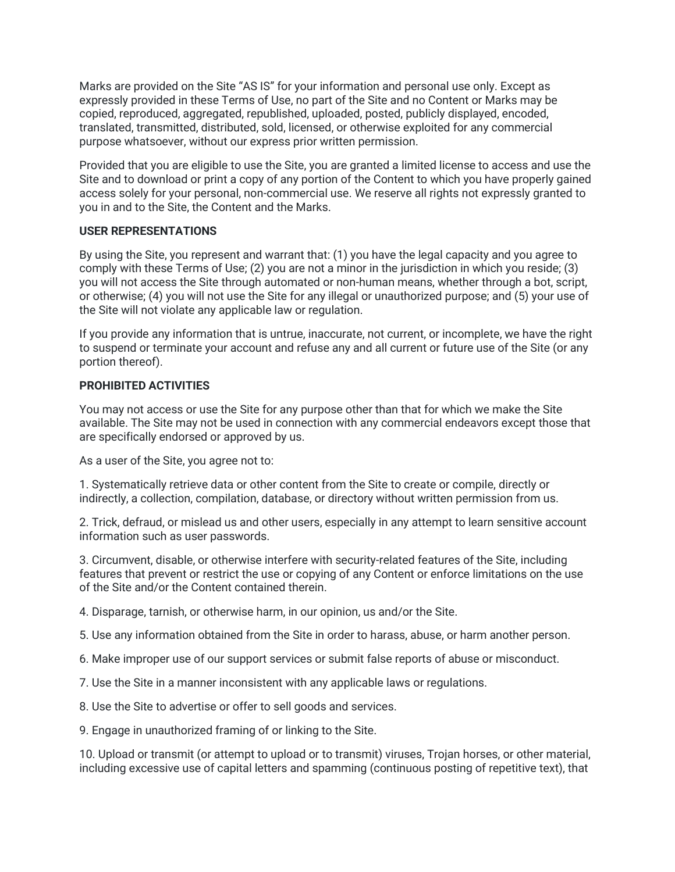Marks are provided on the Site "AS IS" for your information and personal use only. Except as expressly provided in these Terms of Use, no part of the Site and no Content or Marks may be copied, reproduced, aggregated, republished, uploaded, posted, publicly displayed, encoded, translated, transmitted, distributed, sold, licensed, or otherwise exploited for any commercial purpose whatsoever, without our express prior written permission.

Provided that you are eligible to use the Site, you are granted a limited license to access and use the Site and to download or print a copy of any portion of the Content to which you have properly gained access solely for your personal, non-commercial use. We reserve all rights not expressly granted to you in and to the Site, the Content and the Marks.

## **USER REPRESENTATIONS**

By using the Site, you represent and warrant that: (1) you have the legal capacity and you agree to comply with these Terms of Use; (2) you are not a minor in the jurisdiction in which you reside; (3) you will not access the Site through automated or non-human means, whether through a bot, script, or otherwise; (4) you will not use the Site for any illegal or unauthorized purpose; and (5) your use of the Site will not violate any applicable law or regulation.

If you provide any information that is untrue, inaccurate, not current, or incomplete, we have the right to suspend or terminate your account and refuse any and all current or future use of the Site (or any portion thereof).

## **PROHIBITED ACTIVITIES**

You may not access or use the Site for any purpose other than that for which we make the Site available. The Site may not be used in connection with any commercial endeavors except those that are specifically endorsed or approved by us.

As a user of the Site, you agree not to:

1. Systematically retrieve data or other content from the Site to create or compile, directly or indirectly, a collection, compilation, database, or directory without written permission from us.

2. Trick, defraud, or mislead us and other users, especially in any attempt to learn sensitive account information such as user passwords.

3. Circumvent, disable, or otherwise interfere with security-related features of the Site, including features that prevent or restrict the use or copying of any Content or enforce limitations on the use of the Site and/or the Content contained therein.

4. Disparage, tarnish, or otherwise harm, in our opinion, us and/or the Site.

5. Use any information obtained from the Site in order to harass, abuse, or harm another person.

6. Make improper use of our support services or submit false reports of abuse or misconduct.

7. Use the Site in a manner inconsistent with any applicable laws or regulations.

8. Use the Site to advertise or offer to sell goods and services.

9. Engage in unauthorized framing of or linking to the Site.

10. Upload or transmit (or attempt to upload or to transmit) viruses, Trojan horses, or other material, including excessive use of capital letters and spamming (continuous posting of repetitive text), that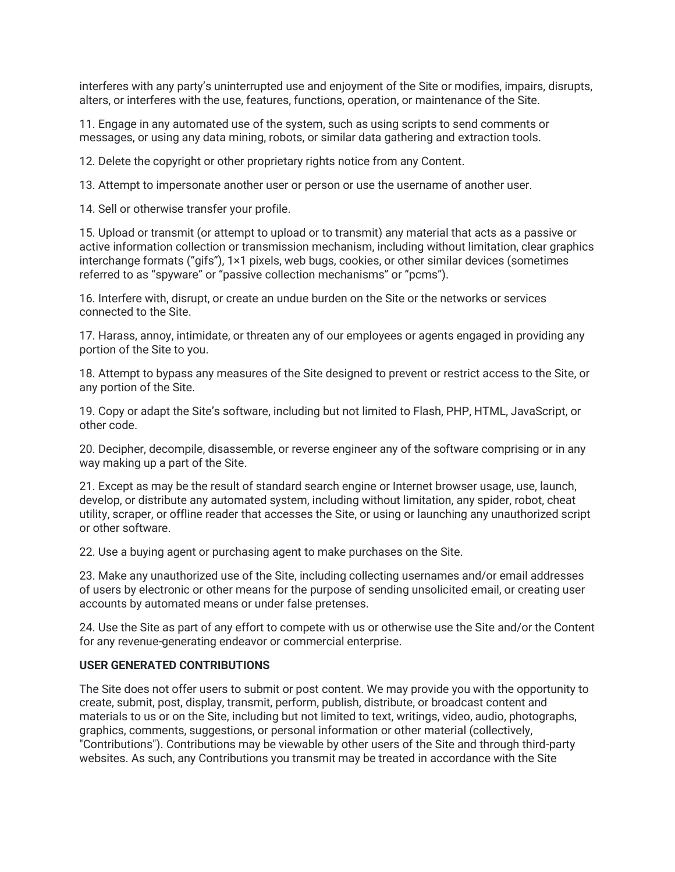interferes with any party's uninterrupted use and enjoyment of the Site or modifies, impairs, disrupts, alters, or interferes with the use, features, functions, operation, or maintenance of the Site.

11. Engage in any automated use of the system, such as using scripts to send comments or messages, or using any data mining, robots, or similar data gathering and extraction tools.

12. Delete the copyright or other proprietary rights notice from any Content.

13. Attempt to impersonate another user or person or use the username of another user.

14. Sell or otherwise transfer your profile.

15. Upload or transmit (or attempt to upload or to transmit) any material that acts as a passive or active information collection or transmission mechanism, including without limitation, clear graphics interchange formats ("gifs"), 1×1 pixels, web bugs, cookies, or other similar devices (sometimes referred to as "spyware" or "passive collection mechanisms" or "pcms").

16. Interfere with, disrupt, or create an undue burden on the Site or the networks or services connected to the Site.

17. Harass, annoy, intimidate, or threaten any of our employees or agents engaged in providing any portion of the Site to you.

18. Attempt to bypass any measures of the Site designed to prevent or restrict access to the Site, or any portion of the Site.

19. Copy or adapt the Site's software, including but not limited to Flash, PHP, HTML, JavaScript, or other code.

20. Decipher, decompile, disassemble, or reverse engineer any of the software comprising or in any way making up a part of the Site.

21. Except as may be the result of standard search engine or Internet browser usage, use, launch, develop, or distribute any automated system, including without limitation, any spider, robot, cheat utility, scraper, or offline reader that accesses the Site, or using or launching any unauthorized script or other software.

22. Use a buying agent or purchasing agent to make purchases on the Site.

23. Make any unauthorized use of the Site, including collecting usernames and/or email addresses of users by electronic or other means for the purpose of sending unsolicited email, or creating user accounts by automated means or under false pretenses.

24. Use the Site as part of any effort to compete with us or otherwise use the Site and/or the Content for any revenue-generating endeavor or commercial enterprise.

#### **USER GENERATED CONTRIBUTIONS**

The Site does not offer users to submit or post content. We may provide you with the opportunity to create, submit, post, display, transmit, perform, publish, distribute, or broadcast content and materials to us or on the Site, including but not limited to text, writings, video, audio, photographs, graphics, comments, suggestions, or personal information or other material (collectively, "Contributions"). Contributions may be viewable by other users of the Site and through third-party websites. As such, any Contributions you transmit may be treated in accordance with the Site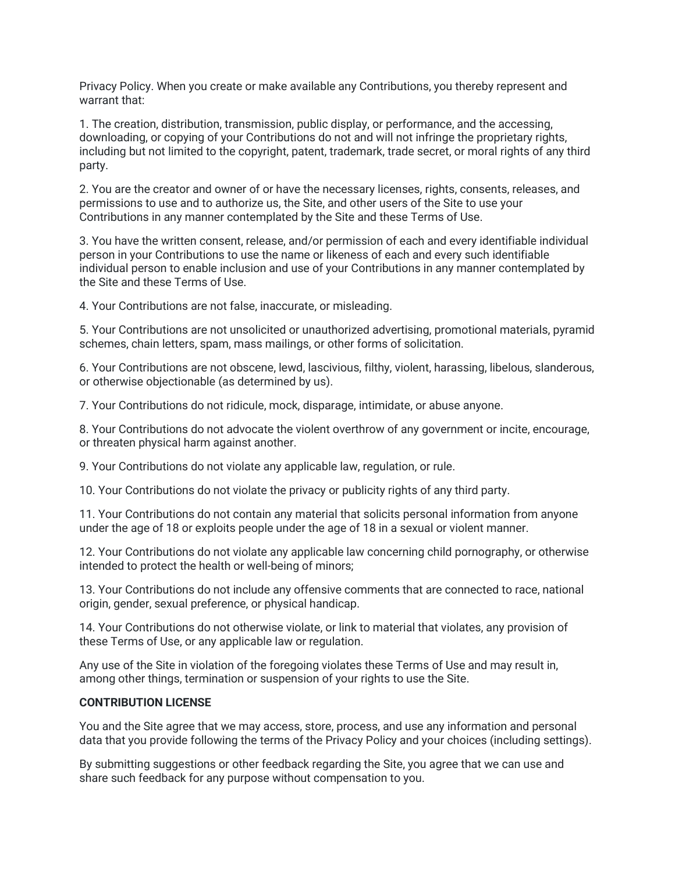Privacy Policy. When you create or make available any Contributions, you thereby represent and warrant that:

1. The creation, distribution, transmission, public display, or performance, and the accessing, downloading, or copying of your Contributions do not and will not infringe the proprietary rights, including but not limited to the copyright, patent, trademark, trade secret, or moral rights of any third party.

2. You are the creator and owner of or have the necessary licenses, rights, consents, releases, and permissions to use and to authorize us, the Site, and other users of the Site to use your Contributions in any manner contemplated by the Site and these Terms of Use.

3. You have the written consent, release, and/or permission of each and every identifiable individual person in your Contributions to use the name or likeness of each and every such identifiable individual person to enable inclusion and use of your Contributions in any manner contemplated by the Site and these Terms of Use.

4. Your Contributions are not false, inaccurate, or misleading.

5. Your Contributions are not unsolicited or unauthorized advertising, promotional materials, pyramid schemes, chain letters, spam, mass mailings, or other forms of solicitation.

6. Your Contributions are not obscene, lewd, lascivious, filthy, violent, harassing, libelous, slanderous, or otherwise objectionable (as determined by us).

7. Your Contributions do not ridicule, mock, disparage, intimidate, or abuse anyone.

8. Your Contributions do not advocate the violent overthrow of any government or incite, encourage, or threaten physical harm against another.

9. Your Contributions do not violate any applicable law, regulation, or rule.

10. Your Contributions do not violate the privacy or publicity rights of any third party.

11. Your Contributions do not contain any material that solicits personal information from anyone under the age of 18 or exploits people under the age of 18 in a sexual or violent manner.

12. Your Contributions do not violate any applicable law concerning child pornography, or otherwise intended to protect the health or well-being of minors;

13. Your Contributions do not include any offensive comments that are connected to race, national origin, gender, sexual preference, or physical handicap.

14. Your Contributions do not otherwise violate, or link to material that violates, any provision of these Terms of Use, or any applicable law or regulation.

Any use of the Site in violation of the foregoing violates these Terms of Use and may result in, among other things, termination or suspension of your rights to use the Site.

## **CONTRIBUTION LICENSE**

You and the Site agree that we may access, store, process, and use any information and personal data that you provide following the terms of the Privacy Policy and your choices (including settings).

By submitting suggestions or other feedback regarding the Site, you agree that we can use and share such feedback for any purpose without compensation to you.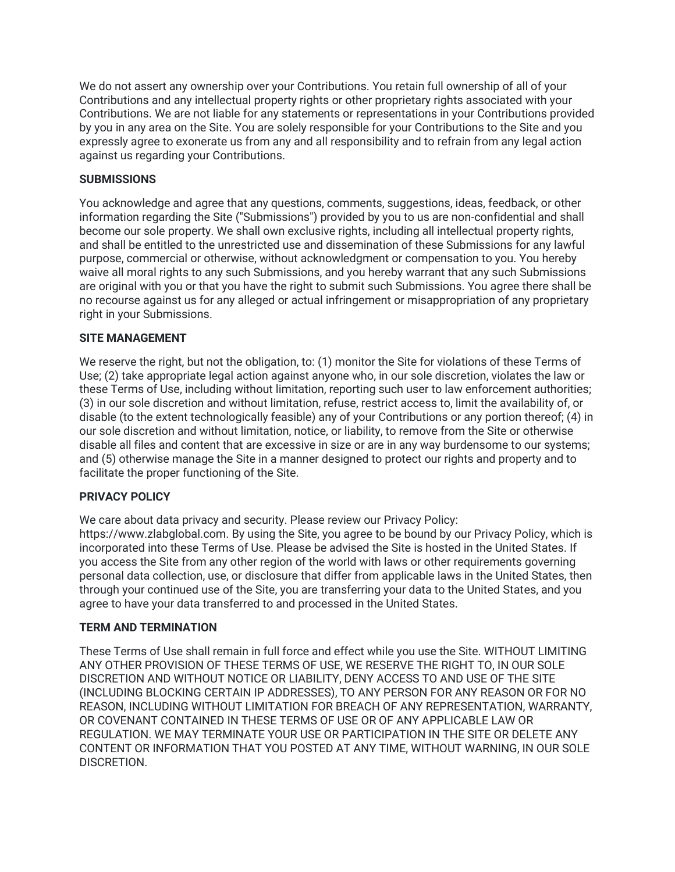We do not assert any ownership over your Contributions. You retain full ownership of all of your Contributions and any intellectual property rights or other proprietary rights associated with your Contributions. We are not liable for any statements or representations in your Contributions provided by you in any area on the Site. You are solely responsible for your Contributions to the Site and you expressly agree to exonerate us from any and all responsibility and to refrain from any legal action against us regarding your Contributions.

## **SUBMISSIONS**

You acknowledge and agree that any questions, comments, suggestions, ideas, feedback, or other information regarding the Site ("Submissions") provided by you to us are non-confidential and shall become our sole property. We shall own exclusive rights, including all intellectual property rights, and shall be entitled to the unrestricted use and dissemination of these Submissions for any lawful purpose, commercial or otherwise, without acknowledgment or compensation to you. You hereby waive all moral rights to any such Submissions, and you hereby warrant that any such Submissions are original with you or that you have the right to submit such Submissions. You agree there shall be no recourse against us for any alleged or actual infringement or misappropriation of any proprietary right in your Submissions.

## **SITE MANAGEMENT**

We reserve the right, but not the obligation, to: (1) monitor the Site for violations of these Terms of Use; (2) take appropriate legal action against anyone who, in our sole discretion, violates the law or these Terms of Use, including without limitation, reporting such user to law enforcement authorities; (3) in our sole discretion and without limitation, refuse, restrict access to, limit the availability of, or disable (to the extent technologically feasible) any of your Contributions or any portion thereof; (4) in our sole discretion and without limitation, notice, or liability, to remove from the Site or otherwise disable all files and content that are excessive in size or are in any way burdensome to our systems; and (5) otherwise manage the Site in a manner designed to protect our rights and property and to facilitate the proper functioning of the Site.

# **PRIVACY POLICY**

We care about data privacy and security. Please review our Privacy Policy:

https://www.zlabglobal.com. By using the Site, you agree to be bound by our Privacy Policy, which is incorporated into these Terms of Use. Please be advised the Site is hosted in the United States. If you access the Site from any other region of the world with laws or other requirements governing personal data collection, use, or disclosure that differ from applicable laws in the United States, then through your continued use of the Site, you are transferring your data to the United States, and you agree to have your data transferred to and processed in the United States.

#### **TERM AND TERMINATION**

These Terms of Use shall remain in full force and effect while you use the Site. WITHOUT LIMITING ANY OTHER PROVISION OF THESE TERMS OF USE, WE RESERVE THE RIGHT TO, IN OUR SOLE DISCRETION AND WITHOUT NOTICE OR LIABILITY, DENY ACCESS TO AND USE OF THE SITE (INCLUDING BLOCKING CERTAIN IP ADDRESSES), TO ANY PERSON FOR ANY REASON OR FOR NO REASON, INCLUDING WITHOUT LIMITATION FOR BREACH OF ANY REPRESENTATION, WARRANTY, OR COVENANT CONTAINED IN THESE TERMS OF USE OR OF ANY APPLICABLE LAW OR REGULATION. WE MAY TERMINATE YOUR USE OR PARTICIPATION IN THE SITE OR DELETE ANY CONTENT OR INFORMATION THAT YOU POSTED AT ANY TIME, WITHOUT WARNING, IN OUR SOLE DISCRETION.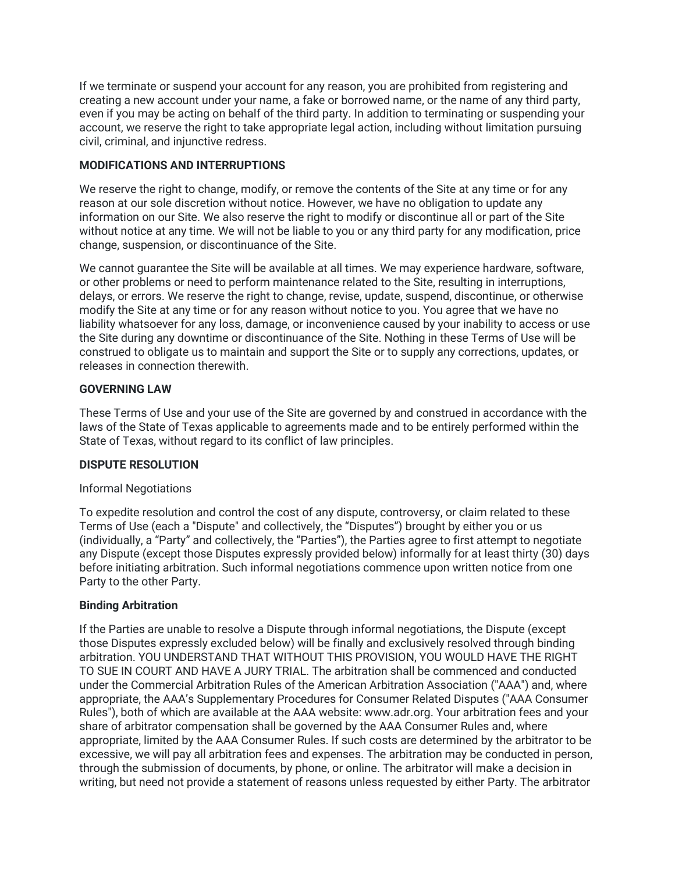If we terminate or suspend your account for any reason, you are prohibited from registering and creating a new account under your name, a fake or borrowed name, or the name of any third party, even if you may be acting on behalf of the third party. In addition to terminating or suspending your account, we reserve the right to take appropriate legal action, including without limitation pursuing civil, criminal, and injunctive redress.

# **MODIFICATIONS AND INTERRUPTIONS**

We reserve the right to change, modify, or remove the contents of the Site at any time or for any reason at our sole discretion without notice. However, we have no obligation to update any information on our Site. We also reserve the right to modify or discontinue all or part of the Site without notice at any time. We will not be liable to you or any third party for any modification, price change, suspension, or discontinuance of the Site.

We cannot guarantee the Site will be available at all times. We may experience hardware, software, or other problems or need to perform maintenance related to the Site, resulting in interruptions, delays, or errors. We reserve the right to change, revise, update, suspend, discontinue, or otherwise modify the Site at any time or for any reason without notice to you. You agree that we have no liability whatsoever for any loss, damage, or inconvenience caused by your inability to access or use the Site during any downtime or discontinuance of the Site. Nothing in these Terms of Use will be construed to obligate us to maintain and support the Site or to supply any corrections, updates, or releases in connection therewith.

## **GOVERNING LAW**

These Terms of Use and your use of the Site are governed by and construed in accordance with the laws of the State of Texas applicable to agreements made and to be entirely performed within the State of Texas, without regard to its conflict of law principles.

#### **DISPUTE RESOLUTION**

#### Informal Negotiations

To expedite resolution and control the cost of any dispute, controversy, or claim related to these Terms of Use (each a "Dispute" and collectively, the "Disputes") brought by either you or us (individually, a "Party" and collectively, the "Parties"), the Parties agree to first attempt to negotiate any Dispute (except those Disputes expressly provided below) informally for at least thirty (30) days before initiating arbitration. Such informal negotiations commence upon written notice from one Party to the other Party.

#### **Binding Arbitration**

If the Parties are unable to resolve a Dispute through informal negotiations, the Dispute (except those Disputes expressly excluded below) will be finally and exclusively resolved through binding arbitration. YOU UNDERSTAND THAT WITHOUT THIS PROVISION, YOU WOULD HAVE THE RIGHT TO SUE IN COURT AND HAVE A JURY TRIAL. The arbitration shall be commenced and conducted under the Commercial Arbitration Rules of the American Arbitration Association ("AAA") and, where appropriate, the AAA's Supplementary Procedures for Consumer Related Disputes ("AAA Consumer Rules"), both of which are available at the AAA website: www.adr.org. Your arbitration fees and your share of arbitrator compensation shall be governed by the AAA Consumer Rules and, where appropriate, limited by the AAA Consumer Rules. If such costs are determined by the arbitrator to be excessive, we will pay all arbitration fees and expenses. The arbitration may be conducted in person, through the submission of documents, by phone, or online. The arbitrator will make a decision in writing, but need not provide a statement of reasons unless requested by either Party. The arbitrator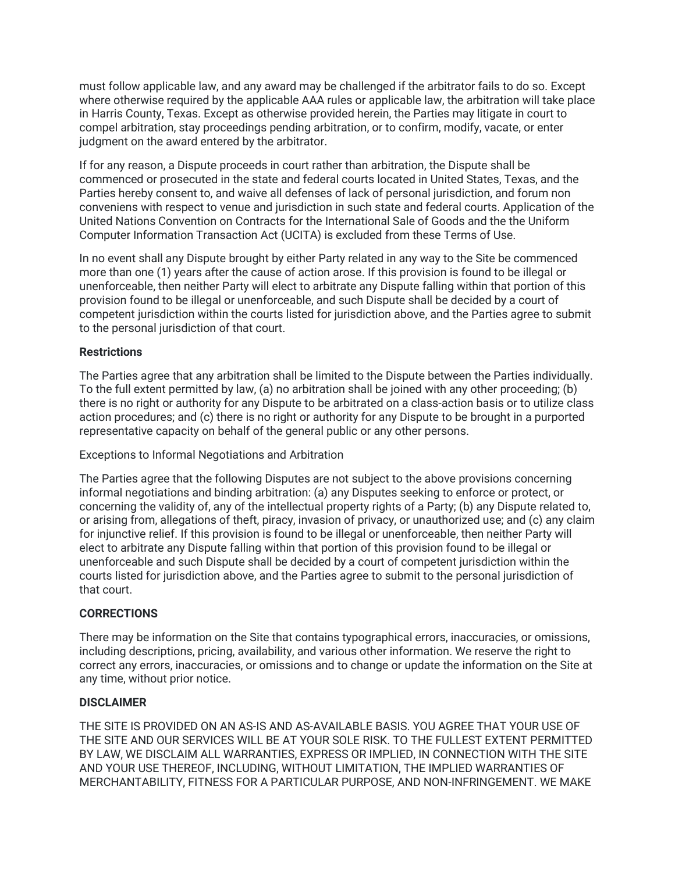must follow applicable law, and any award may be challenged if the arbitrator fails to do so. Except where otherwise required by the applicable AAA rules or applicable law, the arbitration will take place in Harris County, Texas. Except as otherwise provided herein, the Parties may litigate in court to compel arbitration, stay proceedings pending arbitration, or to confirm, modify, vacate, or enter judgment on the award entered by the arbitrator.

If for any reason, a Dispute proceeds in court rather than arbitration, the Dispute shall be commenced or prosecuted in the state and federal courts located in United States, Texas, and the Parties hereby consent to, and waive all defenses of lack of personal jurisdiction, and forum non conveniens with respect to venue and jurisdiction in such state and federal courts. Application of the United Nations Convention on Contracts for the International Sale of Goods and the the Uniform Computer Information Transaction Act (UCITA) is excluded from these Terms of Use.

In no event shall any Dispute brought by either Party related in any way to the Site be commenced more than one (1) years after the cause of action arose. If this provision is found to be illegal or unenforceable, then neither Party will elect to arbitrate any Dispute falling within that portion of this provision found to be illegal or unenforceable, and such Dispute shall be decided by a court of competent jurisdiction within the courts listed for jurisdiction above, and the Parties agree to submit to the personal jurisdiction of that court.

# **Restrictions**

The Parties agree that any arbitration shall be limited to the Dispute between the Parties individually. To the full extent permitted by law, (a) no arbitration shall be joined with any other proceeding; (b) there is no right or authority for any Dispute to be arbitrated on a class-action basis or to utilize class action procedures; and (c) there is no right or authority for any Dispute to be brought in a purported representative capacity on behalf of the general public or any other persons.

Exceptions to Informal Negotiations and Arbitration

The Parties agree that the following Disputes are not subject to the above provisions concerning informal negotiations and binding arbitration: (a) any Disputes seeking to enforce or protect, or concerning the validity of, any of the intellectual property rights of a Party; (b) any Dispute related to, or arising from, allegations of theft, piracy, invasion of privacy, or unauthorized use; and (c) any claim for injunctive relief. If this provision is found to be illegal or unenforceable, then neither Party will elect to arbitrate any Dispute falling within that portion of this provision found to be illegal or unenforceable and such Dispute shall be decided by a court of competent jurisdiction within the courts listed for jurisdiction above, and the Parties agree to submit to the personal jurisdiction of that court.

#### **CORRECTIONS**

There may be information on the Site that contains typographical errors, inaccuracies, or omissions, including descriptions, pricing, availability, and various other information. We reserve the right to correct any errors, inaccuracies, or omissions and to change or update the information on the Site at any time, without prior notice.

#### **DISCLAIMER**

THE SITE IS PROVIDED ON AN AS-IS AND AS-AVAILABLE BASIS. YOU AGREE THAT YOUR USE OF THE SITE AND OUR SERVICES WILL BE AT YOUR SOLE RISK. TO THE FULLEST EXTENT PERMITTED BY LAW, WE DISCLAIM ALL WARRANTIES, EXPRESS OR IMPLIED, IN CONNECTION WITH THE SITE AND YOUR USE THEREOF, INCLUDING, WITHOUT LIMITATION, THE IMPLIED WARRANTIES OF MERCHANTABILITY, FITNESS FOR A PARTICULAR PURPOSE, AND NON-INFRINGEMENT. WE MAKE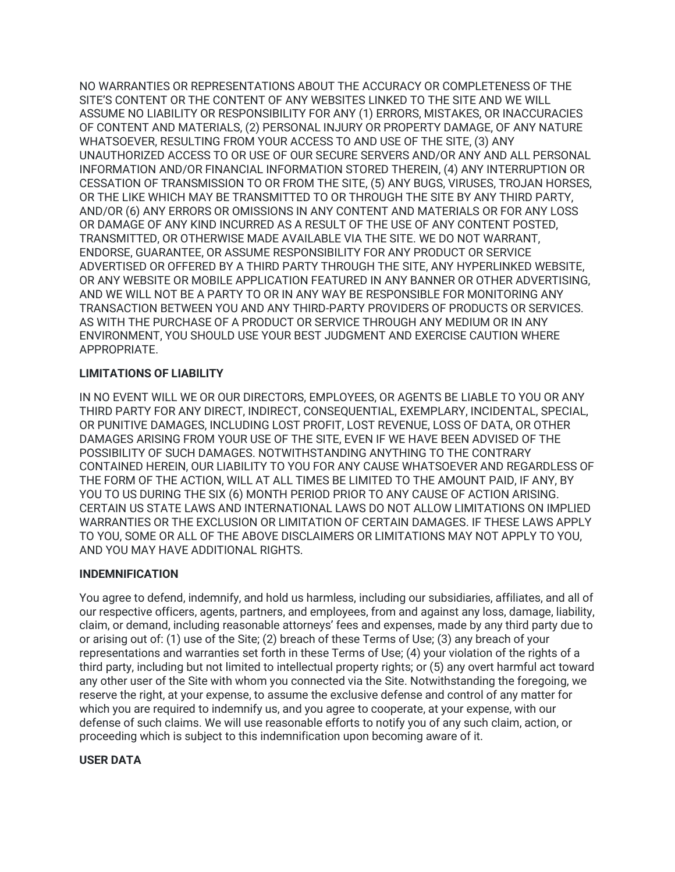NO WARRANTIES OR REPRESENTATIONS ABOUT THE ACCURACY OR COMPLETENESS OF THE SITE'S CONTENT OR THE CONTENT OF ANY WEBSITES LINKED TO THE SITE AND WE WILL ASSUME NO LIABILITY OR RESPONSIBILITY FOR ANY (1) ERRORS, MISTAKES, OR INACCURACIES OF CONTENT AND MATERIALS, (2) PERSONAL INJURY OR PROPERTY DAMAGE, OF ANY NATURE WHATSOEVER, RESULTING FROM YOUR ACCESS TO AND USE OF THE SITE, (3) ANY UNAUTHORIZED ACCESS TO OR USE OF OUR SECURE SERVERS AND/OR ANY AND ALL PERSONAL INFORMATION AND/OR FINANCIAL INFORMATION STORED THEREIN, (4) ANY INTERRUPTION OR CESSATION OF TRANSMISSION TO OR FROM THE SITE, (5) ANY BUGS, VIRUSES, TROJAN HORSES, OR THE LIKE WHICH MAY BE TRANSMITTED TO OR THROUGH THE SITE BY ANY THIRD PARTY, AND/OR (6) ANY ERRORS OR OMISSIONS IN ANY CONTENT AND MATERIALS OR FOR ANY LOSS OR DAMAGE OF ANY KIND INCURRED AS A RESULT OF THE USE OF ANY CONTENT POSTED, TRANSMITTED, OR OTHERWISE MADE AVAILABLE VIA THE SITE. WE DO NOT WARRANT, ENDORSE, GUARANTEE, OR ASSUME RESPONSIBILITY FOR ANY PRODUCT OR SERVICE ADVERTISED OR OFFERED BY A THIRD PARTY THROUGH THE SITE, ANY HYPERLINKED WEBSITE, OR ANY WEBSITE OR MOBILE APPLICATION FEATURED IN ANY BANNER OR OTHER ADVERTISING, AND WE WILL NOT BE A PARTY TO OR IN ANY WAY BE RESPONSIBLE FOR MONITORING ANY TRANSACTION BETWEEN YOU AND ANY THIRD-PARTY PROVIDERS OF PRODUCTS OR SERVICES. AS WITH THE PURCHASE OF A PRODUCT OR SERVICE THROUGH ANY MEDIUM OR IN ANY ENVIRONMENT, YOU SHOULD USE YOUR BEST JUDGMENT AND EXERCISE CAUTION WHERE APPROPRIATE.

## **LIMITATIONS OF LIABILITY**

IN NO EVENT WILL WE OR OUR DIRECTORS, EMPLOYEES, OR AGENTS BE LIABLE TO YOU OR ANY THIRD PARTY FOR ANY DIRECT, INDIRECT, CONSEQUENTIAL, EXEMPLARY, INCIDENTAL, SPECIAL, OR PUNITIVE DAMAGES, INCLUDING LOST PROFIT, LOST REVENUE, LOSS OF DATA, OR OTHER DAMAGES ARISING FROM YOUR USE OF THE SITE, EVEN IF WE HAVE BEEN ADVISED OF THE POSSIBILITY OF SUCH DAMAGES. NOTWITHSTANDING ANYTHING TO THE CONTRARY CONTAINED HEREIN, OUR LIABILITY TO YOU FOR ANY CAUSE WHATSOEVER AND REGARDLESS OF THE FORM OF THE ACTION, WILL AT ALL TIMES BE LIMITED TO THE AMOUNT PAID, IF ANY, BY YOU TO US DURING THE SIX (6) MONTH PERIOD PRIOR TO ANY CAUSE OF ACTION ARISING. CERTAIN US STATE LAWS AND INTERNATIONAL LAWS DO NOT ALLOW LIMITATIONS ON IMPLIED WARRANTIES OR THE EXCLUSION OR LIMITATION OF CERTAIN DAMAGES. IF THESE LAWS APPLY TO YOU, SOME OR ALL OF THE ABOVE DISCLAIMERS OR LIMITATIONS MAY NOT APPLY TO YOU, AND YOU MAY HAVE ADDITIONAL RIGHTS.

#### **INDEMNIFICATION**

You agree to defend, indemnify, and hold us harmless, including our subsidiaries, affiliates, and all of our respective officers, agents, partners, and employees, from and against any loss, damage, liability, claim, or demand, including reasonable attorneys' fees and expenses, made by any third party due to or arising out of: (1) use of the Site; (2) breach of these Terms of Use; (3) any breach of your representations and warranties set forth in these Terms of Use; (4) your violation of the rights of a third party, including but not limited to intellectual property rights; or (5) any overt harmful act toward any other user of the Site with whom you connected via the Site. Notwithstanding the foregoing, we reserve the right, at your expense, to assume the exclusive defense and control of any matter for which you are required to indemnify us, and you agree to cooperate, at your expense, with our defense of such claims. We will use reasonable efforts to notify you of any such claim, action, or proceeding which is subject to this indemnification upon becoming aware of it.

### **USER DATA**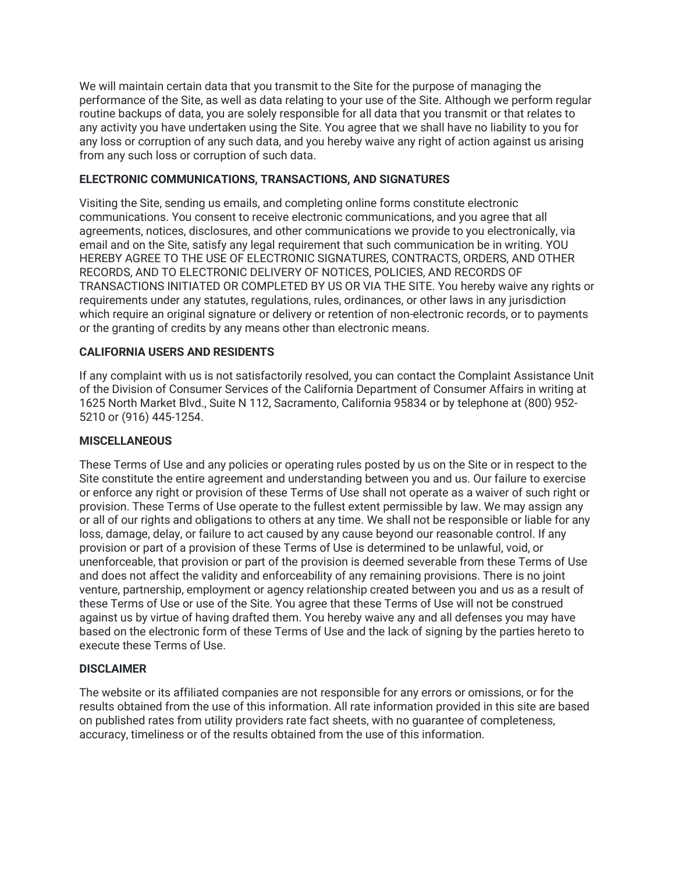We will maintain certain data that you transmit to the Site for the purpose of managing the performance of the Site, as well as data relating to your use of the Site. Although we perform regular routine backups of data, you are solely responsible for all data that you transmit or that relates to any activity you have undertaken using the Site. You agree that we shall have no liability to you for any loss or corruption of any such data, and you hereby waive any right of action against us arising from any such loss or corruption of such data.

# **ELECTRONIC COMMUNICATIONS, TRANSACTIONS, AND SIGNATURES**

Visiting the Site, sending us emails, and completing online forms constitute electronic communications. You consent to receive electronic communications, and you agree that all agreements, notices, disclosures, and other communications we provide to you electronically, via email and on the Site, satisfy any legal requirement that such communication be in writing. YOU HEREBY AGREE TO THE USE OF ELECTRONIC SIGNATURES, CONTRACTS, ORDERS, AND OTHER RECORDS, AND TO ELECTRONIC DELIVERY OF NOTICES, POLICIES, AND RECORDS OF TRANSACTIONS INITIATED OR COMPLETED BY US OR VIA THE SITE. You hereby waive any rights or requirements under any statutes, regulations, rules, ordinances, or other laws in any jurisdiction which require an original signature or delivery or retention of non-electronic records, or to payments or the granting of credits by any means other than electronic means.

## **CALIFORNIA USERS AND RESIDENTS**

If any complaint with us is not satisfactorily resolved, you can contact the Complaint Assistance Unit of the Division of Consumer Services of the California Department of Consumer Affairs in writing at 1625 North Market Blvd., Suite N 112, Sacramento, California 95834 or by telephone at (800) 952- 5210 or (916) 445-1254.

### **MISCELLANEOUS**

These Terms of Use and any policies or operating rules posted by us on the Site or in respect to the Site constitute the entire agreement and understanding between you and us. Our failure to exercise or enforce any right or provision of these Terms of Use shall not operate as a waiver of such right or provision. These Terms of Use operate to the fullest extent permissible by law. We may assign any or all of our rights and obligations to others at any time. We shall not be responsible or liable for any loss, damage, delay, or failure to act caused by any cause beyond our reasonable control. If any provision or part of a provision of these Terms of Use is determined to be unlawful, void, or unenforceable, that provision or part of the provision is deemed severable from these Terms of Use and does not affect the validity and enforceability of any remaining provisions. There is no joint venture, partnership, employment or agency relationship created between you and us as a result of these Terms of Use or use of the Site. You agree that these Terms of Use will not be construed against us by virtue of having drafted them. You hereby waive any and all defenses you may have based on the electronic form of these Terms of Use and the lack of signing by the parties hereto to execute these Terms of Use.

#### **DISCLAIMER**

The website or its affiliated companies are not responsible for any errors or omissions, or for the results obtained from the use of this information. All rate information provided in this site are based on published rates from utility providers rate fact sheets, with no guarantee of completeness, accuracy, timeliness or of the results obtained from the use of this information.